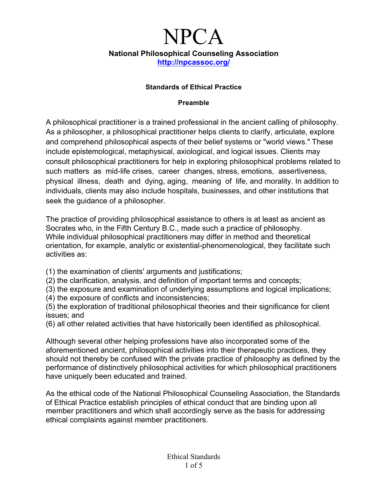### **Standards of Ethical Practice**

#### **Preamble**

A philosophical practitioner is a trained professional in the ancient calling of philosophy. As a philosopher, a philosophical practitioner helps clients to clarify, articulate, explore and comprehend philosophical aspects of their belief systems or "world views." These include epistemological, metaphysical, axiological, and logical issues. Clients may consult philosophical practitioners for help in exploring philosophical problems related to such matters as mid-life crises, career changes, stress, emotions, assertiveness, physical illness, death and dying, aging, meaning of life, and morality. In addition to individuals, clients may also include hospitals, businesses, and other institutions that seek the guidance of a philosopher.

The practice of providing philosophical assistance to others is at least as ancient as Socrates who, in the Fifth Century B.C., made such a practice of philosophy. While individual philosophical practitioners may differ in method and theoretical orientation, for example, analytic or existential-phenomenological, they facilitate such activities as:

- (1) the examination of clients' arguments and justifications;
- (2) the clarification, analysis, and definition of important terms and concepts;
- (3) the exposure and examination of underlying assumptions and logical implications;
- (4) the exposure of conflicts and inconsistencies;
- (5) the exploration of traditional philosophical theories and their significance for client issues; and
- (6) all other related activities that have historically been identified as philosophical.

Although several other helping professions have also incorporated some of the aforementioned ancient, philosophical activities into their therapeutic practices, they should not thereby be confused with the private practice of philosophy as defined by the performance of distinctively philosophical activities for which philosophical practitioners have uniquely been educated and trained.

As the ethical code of the National Philosophical Counseling Association, the Standards of Ethical Practice establish principles of ethical conduct that are binding upon all member practitioners and which shall accordingly serve as the basis for addressing ethical complaints against member practitioners.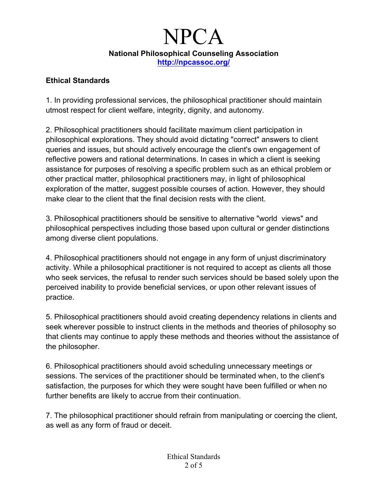### **Ethical Standards**

1. In providing professional services, the philosophical practitioner should maintain utmost respect for client welfare, integrity, dignity, and autonomy.

2. Philosophical practitioners should facilitate maximum client participation in philosophical explorations. They should avoid dictating "correct" answers to client queries and issues, but should actively encourage the client's own engagement of reflective powers and rational determinations. In cases in which a client is seeking assistance for purposes of resolving a specific problem such as an ethical problem or other practical matter, philosophical practitioners may, in light of philosophical exploration of the matter, suggest possible courses of action. However, they should make clear to the client that the final decision rests with the client.

3. Philosophical practitioners should be sensitive to alternative "world views" and philosophical perspectives including those based upon cultural or gender distinctions among diverse client populations.

4. Philosophical practitioners should not engage in any form of unjust discriminatory activity. While a philosophical practitioner is not required to accept as clients all those who seek services, the refusal to render such services should be based solely upon the perceived inability to provide beneficial services, or upon other relevant issues of practice.

5. Philosophical practitioners should avoid creating dependency relations in clients and seek wherever possible to instruct clients in the methods and theories of philosophy so that clients may continue to apply these methods and theories without the assistance of the philosopher.

6. Philosophical practitioners should avoid scheduling unnecessary meetings or sessions. The services of the practitioner should be terminated when, to the client's satisfaction, the purposes for which they were sought have been fulfilled or when no further benefits are likely to accrue from their continuation.

7. The philosophical practitioner should refrain from manipulating or coercing the client, as well as any form of fraud or deceit.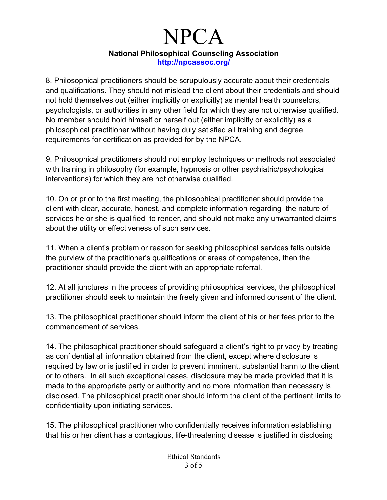8. Philosophical practitioners should be scrupulously accurate about their credentials and qualifications. They should not mislead the client about their credentials and should not hold themselves out (either implicitly or explicitly) as mental health counselors, psychologists, or authorities in any other field for which they are not otherwise qualified. No member should hold himself or herself out (either implicitly or explicitly) as a philosophical practitioner without having duly satisfied all training and degree requirements for certification as provided for by the NPCA.

9. Philosophical practitioners should not employ techniques or methods not associated with training in philosophy (for example, hypnosis or other psychiatric/psychological interventions) for which they are not otherwise qualified.

10. On or prior to the first meeting, the philosophical practitioner should provide the client with clear, accurate, honest, and complete information regarding the nature of services he or she is qualified to render, and should not make any unwarranted claims about the utility or effectiveness of such services.

11. When a client's problem or reason for seeking philosophical services falls outside the purview of the practitioner's qualifications or areas of competence, then the practitioner should provide the client with an appropriate referral.

12. At all junctures in the process of providing philosophical services, the philosophical practitioner should seek to maintain the freely given and informed consent of the client.

13. The philosophical practitioner should inform the client of his or her fees prior to the commencement of services.

14. The philosophical practitioner should safeguard a client's right to privacy by treating as confidential all information obtained from the client, except where disclosure is required by law or is justified in order to prevent imminent, substantial harm to the client or to others. In all such exceptional cases, disclosure may be made provided that it is made to the appropriate party or authority and no more information than necessary is disclosed. The philosophical practitioner should inform the client of the pertinent limits to confidentiality upon initiating services.

15. The philosophical practitioner who confidentially receives information establishing that his or her client has a contagious, life-threatening disease is justified in disclosing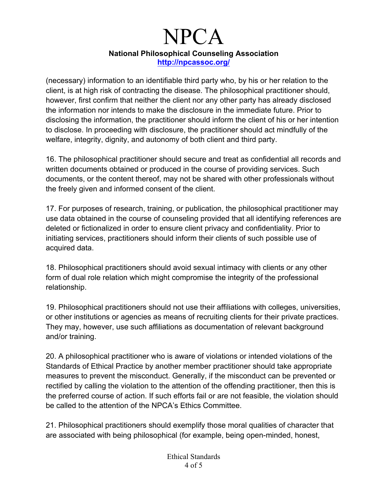(necessary) information to an identifiable third party who, by his or her relation to the client, is at high risk of contracting the disease. The philosophical practitioner should, however, first confirm that neither the client nor any other party has already disclosed the information nor intends to make the disclosure in the immediate future. Prior to disclosing the information, the practitioner should inform the client of his or her intention to disclose. In proceeding with disclosure, the practitioner should act mindfully of the welfare, integrity, dignity, and autonomy of both client and third party.

16. The philosophical practitioner should secure and treat as confidential all records and written documents obtained or produced in the course of providing services. Such documents, or the content thereof, may not be shared with other professionals without the freely given and informed consent of the client.

17. For purposes of research, training, or publication, the philosophical practitioner may use data obtained in the course of counseling provided that all identifying references are deleted or fictionalized in order to ensure client privacy and confidentiality. Prior to initiating services, practitioners should inform their clients of such possible use of acquired data.

18. Philosophical practitioners should avoid sexual intimacy with clients or any other form of dual role relation which might compromise the integrity of the professional relationship.

19. Philosophical practitioners should not use their affiliations with colleges, universities, or other institutions or agencies as means of recruiting clients for their private practices. They may, however, use such affiliations as documentation of relevant background and/or training.

20. A philosophical practitioner who is aware of violations or intended violations of the Standards of Ethical Practice by another member practitioner should take appropriate measures to prevent the misconduct. Generally, if the misconduct can be prevented or rectified by calling the violation to the attention of the offending practitioner, then this is the preferred course of action. If such efforts fail or are not feasible, the violation should be called to the attention of the NPCA's Ethics Committee.

21. Philosophical practitioners should exemplify those moral qualities of character that are associated with being philosophical (for example, being open-minded, honest,